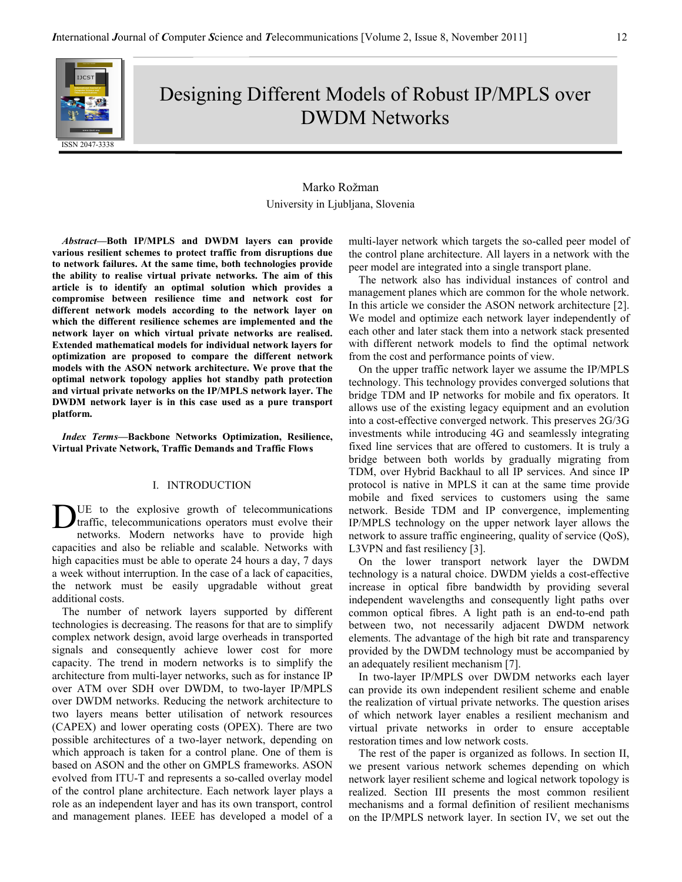

Designing Different Models of Robust IP/MPLS over DWDM Networks

# Marko Rožman University in Ljubljana, Slovenia

Abstract—Both IP/MPLS and DWDM layers can provide various resilient schemes to protect traffic from disruptions due to network failures. At the same time, both technologies provide the ability to realise virtual private networks. The aim of this article is to identify an optimal solution which provides a compromise between resilience time and network cost for different network models according to the network layer on which the different resilience schemes are implemented and the network layer on which virtual private networks are realised. Extended mathematical models for individual network layers for optimization are proposed to compare the different network models with the ASON network architecture. We prove that the optimal network topology applies hot standby path protection and virtual private networks on the IP/MPLS network layer. The DWDM network layer is in this case used as a pure transport platform.

Index Terms—Backbone Networks Optimization, Resilience, Virtual Private Network, Traffic Demands and Traffic Flows

### I. INTRODUCTION

UE to the explosive growth of telecommunications traffic, telecommunications operators must evolve their networks. Modern networks have to provide high capacities and also be reliable and scalable. Networks with high capacities must be able to operate 24 hours a day, 7 days a week without interruption. In the case of a lack of capacities, the network must be easily upgradable without great additional costs. D

The number of network layers supported by different technologies is decreasing. The reasons for that are to simplify complex network design, avoid large overheads in transported signals and consequently achieve lower cost for more capacity. The trend in modern networks is to simplify the architecture from multi-layer networks, such as for instance IP over ATM over SDH over DWDM, to two-layer IP/MPLS over DWDM networks. Reducing the network architecture to two layers means better utilisation of network resources (CAPEX) and lower operating costs (OPEX). There are two possible architectures of a two-layer network, depending on which approach is taken for a control plane. One of them is based on ASON and the other on GMPLS frameworks. ASON evolved from ITU-T and represents a so-called overlay model of the control plane architecture. Each network layer plays a role as an independent layer and has its own transport, control and management planes. IEEE has developed a model of a

multi-layer network which targets the so-called peer model of the control plane architecture. All layers in a network with the peer model are integrated into a single transport plane.

The network also has individual instances of control and management planes which are common for the whole network. In this article we consider the ASON network architecture [2]. We model and optimize each network layer independently of each other and later stack them into a network stack presented with different network models to find the optimal network from the cost and performance points of view.

On the upper traffic network layer we assume the IP/MPLS technology. This technology provides converged solutions that bridge TDM and IP networks for mobile and fix operators. It allows use of the existing legacy equipment and an evolution into a cost-effective converged network. This preserves 2G/3G investments while introducing 4G and seamlessly integrating fixed line services that are offered to customers. It is truly a bridge between both worlds by gradually migrating from TDM, over Hybrid Backhaul to all IP services. And since IP protocol is native in MPLS it can at the same time provide mobile and fixed services to customers using the same network. Beside TDM and IP convergence, implementing IP/MPLS technology on the upper network layer allows the network to assure traffic engineering, quality of service (QoS), L3VPN and fast resiliency [3].

On the lower transport network layer the DWDM technology is a natural choice. DWDM yields a cost-effective increase in optical fibre bandwidth by providing several independent wavelengths and consequently light paths over common optical fibres. A light path is an end-to-end path between two, not necessarily adjacent DWDM network elements. The advantage of the high bit rate and transparency provided by the DWDM technology must be accompanied by an adequately resilient mechanism [7].

In two-layer IP/MPLS over DWDM networks each layer can provide its own independent resilient scheme and enable the realization of virtual private networks. The question arises of which network layer enables a resilient mechanism and virtual private networks in order to ensure acceptable restoration times and low network costs.

The rest of the paper is organized as follows. In section II, we present various network schemes depending on which network layer resilient scheme and logical network topology is realized. Section III presents the most common resilient mechanisms and a formal definition of resilient mechanisms on the IP/MPLS network layer. In section IV, we set out the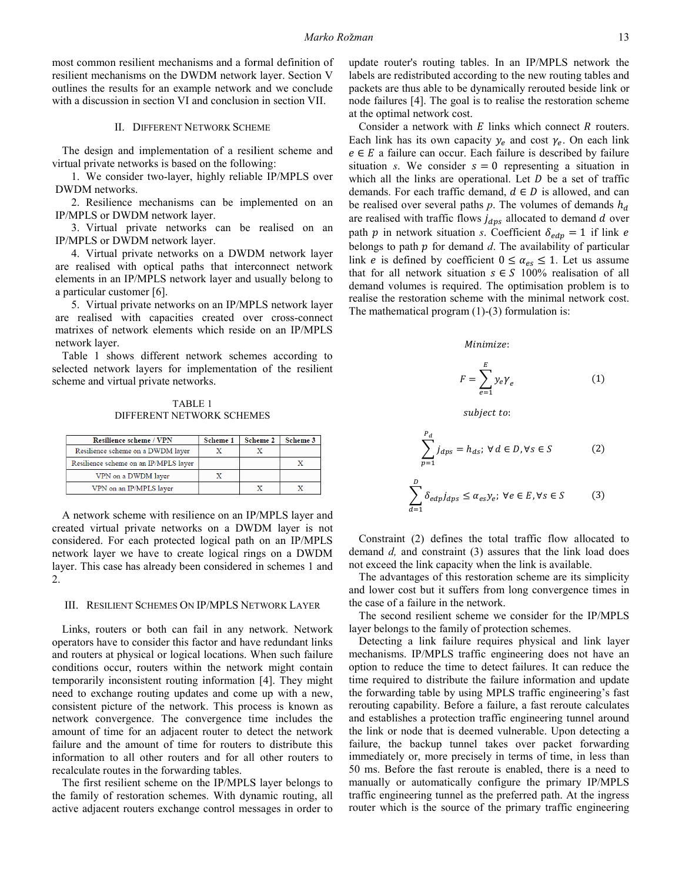most common resilient mechanisms and a formal definition of resilient mechanisms on the DWDM network layer. Section V outlines the results for an example network and we conclude with a discussion in section VI and conclusion in section VII.

II. DIFFERENT NETWORK SCHEME

The design and implementation of a resilient scheme and virtual private networks is based on the following:

1. We consider two-layer, highly reliable IP/MPLS over DWDM networks.

2. Resilience mechanisms can be implemented on an IP/MPLS or DWDM network layer.

3. Virtual private networks can be realised on an IP/MPLS or DWDM network layer.

4. Virtual private networks on a DWDM network layer are realised with optical paths that interconnect network elements in an IP/MPLS network layer and usually belong to a particular customer [6]. most common resilient mechanisms and a formal definition of<br>esilient mechanisms on the DWDM network layer. Section V<br>utlines the results for an example network and we conclude<br>with a discussion in section VI and conclusion

5. Virtual private networks on an IP/MPLS network layer are realised with capacities created over cross-connect matrixes of network elements which reside on an IP/MPLS network layer.

Table 1 shows different network schemes according to selected network layers for implementation of the resilient scheme and virtual private networks.

TABLE 1 DIFFERENT NETWORK SCHEMES

| <b>Resilience scheme / VPN</b>        | <b>Scheme 1</b> | <b>Scheme 2</b> | Scheme 3 |
|---------------------------------------|-----------------|-----------------|----------|
| Resilience scheme on a DWDM layer     |                 |                 |          |
| Resilience scheme on an IP/MPLS layer |                 |                 |          |
| VPN on a DWDM layer                   |                 |                 |          |
| VPN on an IP/MPLS layer               |                 | x               |          |

A network scheme with resilience on an IP/MPLS layer and created virtual private networks on a DWDM layer is not considered. For each protected logical path on an IP/MPLS network layer we have to create logical rings on a DWDM layer. This case has already been considered in schemes 1 and 2. matrixes of network elements which reside on an IP/MPLS<br>
network layer.<br>
Table 1 shows different network schemes according to<br>
selected network layers for implementation of the resilient<br>
scheme and virtual private networ

#### III. RESILIENT SCHEMES ON IP/MPLS NETWORK LAYER

Links, routers or both can fail in any network. Network operators have to consider this factor and have redundant links and routers at physical or logical locations. When such failure conditions occur, routers within the network might contain temporarily inconsistent routing information [4]. They might need to exchange routing updates and come up with a new, consistent picture of the network. This process is known as network convergence. The convergence time includes the amount of time for an adjacent router to detect the network failure and the amount of time for routers to distribute this information to all other routers and for all other routers to recalculate routes in the forwarding tables. Links, routers or both can fail in any network. Network<br>erators have to consider this factor and have redundant links<br>d routers at physical or logical locations. When such failure

The first resilient scheme on the IP/MPLS layer belongs to the family of restoration schemes. With dynamic routing, all active adjacent routers exchange control messages in order to labels are redistributed according to the new routing tables and packets are thus able to be dynamically rerouted beside link or node failures [4]. The goal is to realise the restoration scheme at the optimal network cost. update router's routing tables. In an IP/MPLS network the be dynamically rerouted beside link or goal is to realise the restoration scheme cost.<br>with  $E$  links which connect  $R$  routers.

inconsistent inconsistent updates with our convergence time of the basis of the other hand basis of the other hand basis of the other hand basis of the other hand basis of the other hand basis of the other hand basis of t Consider a network with  $E$  links which connect  $R$  routers. Each link has its own capacity  $y_e$  and cost  $\gamma_e$ . On each link  $e \in E$  a failure can occur. Each failure is described by failure situation *s*. We consider  $s = 0$  representing a situation in which all the links are operational. Let  $D$  be a set of traffic demands. For each traffic demand,  $d \in D$  is allowed, and can be realised over several paths  $p$ . The volumes of demands  $h_d$ are realised with traffic flows  $j_{dps}$  allocated to demand  $d$  over path p in network situation *s*. Coefficient  $\delta_{\text{edp}} = 1$  if link e belongs to path  $p$  for demand  $d$ . The availability of particular link *e* is defined by coefficient  $0 \le \alpha_{es} \le 1$ . Let us assume that for all network situation  $s \in S$  100% realisation of all demand volumes is required. The optimisation problem is to realise the restoration scheme with the minimal network cost. The mathematical program  $(1)-(3)$  formulation is: In Each failure is described by failure<br>er  $s = 0$  representing a situation in<br>operational. Let D be a set of traffic

#### Minimize:

$$
F = \sum_{e=1}^{E} y_e \gamma_e \tag{1}
$$

subject to:

$$
\sum_{p=1}^{P_d} j_{dps} = h_{ds}; \ \forall \ d \in D, \forall s \in S \tag{2}
$$

$$
\sum_{d=1}^{D} \delta_{edp} j_{dps} \le \alpha_{es} y_e; \ \forall e \in E, \forall s \in S \tag{3}
$$

Constraint (2) defines the total traffic flow allocated to demand  $d$ , and constraint (3) assures that the link load does not exceed the link capacity when the link is available. demand  $d$ , and constraint  $(3)$  assures that the link load does not exceed the link capacity when the link is available.

The advantages of this restoration scheme are its simplicity and lower cost but it suffers from long convergence times in the case of a failure in the network.

The second resilient scheme we consider for the IP/MPLS layer belongs to the family of protection schemes.

Detecting a link failure requires physical and link layer mechanisms. IP/MPLS traffic engineering does not have an option to reduce the time to detect failures. It can reduce the time required to distribute the failure information and update the forwarding table by using MPLS traffic engineering's fast rerouting capability. Before a failure, a fast reroute calculates and establishes a protection traffic engineering tunnel around the link or node that is deemed vulnerable. Upon detecting a failure, the backup tunnel takes over packet forwarding immediately or, more precisely in terms of time, in less than 50 ms. Before the fast reroute is enabled, there is a need to manually or automatically configure the primary IP/MPLS traffic engineering tunnel as the preferred path. At the ingre router which is the source of the primary traffic engineering lower cost but it suffers from long convergence times in case of a failure in the network.<br>he second resilient scheme we consider for the IP/MPLS<br>rr belongs to the family of protection schemes.<br>etecting a link failure requ ity. Before a failure, a fast reroute calculates<br>protection traffic engineering tunnel around<br>that is deemed vulnerable. Upon detecting a<br>kup tunnel takes over packet forwarding between the fast reroute is enabled, there is a need to automatically configure the primary IP/MPLS tring tunnel as the preferred path. At the ingress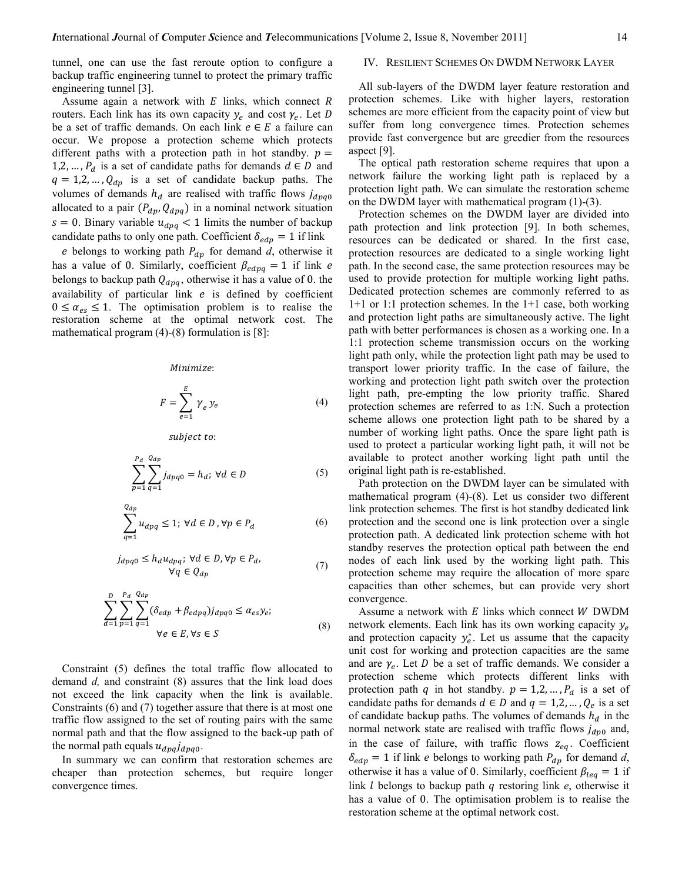tunnel, one can use the fast reroute option to configure a backup traffic engineering tunnel to protect the primary traffic engineering tunnel [3].

Assume again a network with  $E$  links, which connect  $R$ routers. Each link has its own capacity  $y_e$  and cost  $\gamma_e$ . Let D be a set of traffic demands. On each link  $e \in E$  a failure can occur. We propose a protection scheme which protects different paths with a protection path in hot standby.  $p =$ 1,2, ...,  $P_d$  is a set of candidate paths for demands  $d \in D$  and  $q = 1, 2, ..., Q_{dp}$  is a set of candidate backup paths. The volumes of demands  $h_d$  are realised with traffic flows  $j_{dpq0}$ allocated to a pair  $(P_{dp}, Q_{dpq})$  in a nominal network situation  $s = 0$ . Binary variable  $u_{dpq} < 1$  limits the number of backup candidate paths to only one path. Coefficient  $\delta_{\text{edp}} = 1$  if link

e belongs to working path  $P_{dp}$  for demand d, otherwise it has a value of 0. Similarly, coefficient  $\beta_{edpq} = 1$  if link e belongs to backup path  $Q_{dpq}$ , otherwise it has a value of 0. the availability of particular link  $e$  is defined by coefficient  $0 \leq \alpha_{es} \leq 1$ . The optimisation problem is to realise the restoration scheme at the optimal network cost. The mathematical program  $(4)-(8)$  formulation is [8]:

#### Minimize:

$$
F = \sum_{e=1}^{E} \gamma_e y_e \tag{4}
$$

subject to:

$$
\sum_{p=1}^{P_d} \sum_{q=1}^{Q_{dp}} j_{dpq0} = h_d; \ \forall d \in D
$$
 (5)

$$
\sum_{q=1}^{Q_{dp}} u_{dpq} \le 1; \,\forall d \in D, \forall p \in P_d
$$
 (6)

$$
j_{dpq0} \le h_d u_{dpq}; \forall d \in D, \forall p \in P_d,
$$
  

$$
\forall q \in Q_{dp}
$$
 (7)

$$
\sum_{d=1}^{D} \sum_{p=1}^{P_d} \sum_{q=1}^{Q_{dp}} (\delta_{edp} + \beta_{edpq}) j_{dpq0} \le \alpha_{es} y_e;
$$
\n
$$
\forall e \in E, \forall s \in S
$$
\n(8)

Constraint (5) defines the total traffic flow allocated to demand d, and constraint (8) assures that the link load does not exceed the link capacity when the link is available. Constraints (6) and (7) together assure that there is at most one traffic flow assigned to the set of routing pairs with the same normal path and that the flow assigned to the back-up path of the normal path equals  $u_{dpq}j_{dpq0}$ .

In summary we can confirm that restoration schemes are cheaper than protection schemes, but require longer convergence times.

## IV. RESILIENT SCHEMES ON DWDM NETWORK LAYER

All sub-layers of the DWDM layer feature restoration and protection schemes. Like with higher layers, restoration schemes are more efficient from the capacity point of view but suffer from long convergence times. Protection schemes provide fast convergence but are greedier from the resources aspect [9].

The optical path restoration scheme requires that upon a network failure the working light path is replaced by a protection light path. We can simulate the restoration scheme on the DWDM layer with mathematical program (1)-(3).

Protection schemes on the DWDM layer are divided into path protection and link protection [9]. In both schemes, resources can be dedicated or shared. In the first case, protection resources are dedicated to a single working light path. In the second case, the same protection resources may be used to provide protection for multiple working light paths. Dedicated protection schemes are commonly referred to as 1+1 or 1:1 protection schemes. In the 1+1 case, both working and protection light paths are simultaneously active. The light path with better performances is chosen as a working one. In a 1:1 protection scheme transmission occurs on the working light path only, while the protection light path may be used to transport lower priority traffic. In the case of failure, the working and protection light path switch over the protection light path, pre-empting the low priority traffic. Shared protection schemes are referred to as 1:N. Such a protection scheme allows one protection light path to be shared by a number of working light paths. Once the spare light path is used to protect a particular working light path, it will not be available to protect another working light path until the original light path is re-established.

Path protection on the DWDM layer can be simulated with mathematical program (4)-(8). Let us consider two different link protection schemes. The first is hot standby dedicated link protection and the second one is link protection over a single protection path. A dedicated link protection scheme with hot standby reserves the protection optical path between the end nodes of each link used by the working light path. This protection scheme may require the allocation of more spare capacities than other schemes, but can provide very short convergence.

Assume a network with  $E$  links which connect  $W$  DWDM network elements. Each link has its own working capacity  $y_e$ and protection capacity  $y_e^*$ . Let us assume that the capacity unit cost for working and protection capacities are the same and are  $\gamma_e$ . Let D be a set of traffic demands. We consider a protection scheme which protects different links with protection path q in hot standby.  $p = 1, 2, ..., P_d$  is a set of candidate paths for demands  $d \in D$  and  $q = 1,2,..., Q_e$  is a set of candidate backup paths. The volumes of demands  $h_d$  in the normal network state are realised with traffic flows  $j_{dp0}$  and, in the case of failure, with traffic flows  $z_{eq}$ . Coefficient  $\delta_{\text{edp}} = 1$  if link e belongs to working path  $P_{dp}$  for demand d, otherwise it has a value of 0. Similarly, coefficient  $\beta_{\text{leq}} = 1$  if link  $l$  belongs to backup path  $q$  restoring link  $e$ , otherwise it has a value of 0. The optimisation problem is to realise the restoration scheme at the optimal network cost.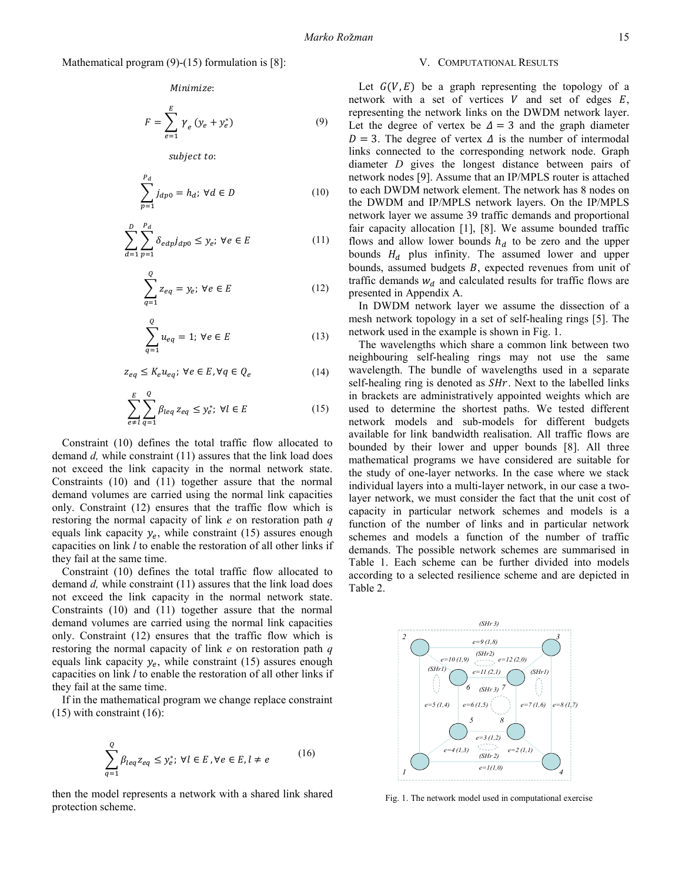### Mathematical program (9)-(15) formulation is [8]:

Minimize:

$$
F = \sum_{e=1}^{E} \gamma_e (y_e + y_e^*)
$$
 (9)

subject to:

$$
\sum_{p=1}^{P_d} j_{dp0} = h_d; \ \forall d \in D \tag{10}
$$

$$
\sum_{d=1}^{D} \sum_{p=1}^{P_d} \delta_{edp} j_{dp0} \le y_e; \ \forall e \in E
$$
 (11)

$$
\sum_{q=1}^{Q} z_{eq} = y_e; \ \forall e \in E \tag{12}
$$

$$
\sum_{q=1}^{Q} u_{eq} = 1; \ \forall e \in E
$$
 (13)

$$
z_{eq} \le K_e u_{eq}; \ \forall e \in E, \forall q \in Q_e \tag{14}
$$

$$
\sum_{e \neq l}^{E} \sum_{q=1}^{Q} \beta_{leq} z_{eq} \leq y_e^*; \ \forall l \in E
$$
 (15)

Constraint (10) defines the total traffic flow allocated to demand d, while constraint (11) assures that the link load does not exceed the link capacity in the normal network state. Constraints (10) and (11) together assure that the normal demand volumes are carried using the normal link capacities only. Constraint (12) ensures that the traffic flow which is restoring the normal capacity of link  $e$  on restoration path  $q$ equals link capacity  $y_e$ , while constraint (15) assures enough capacities on link l to enable the restoration of all other links if they fail at the same time.

Constraint (10) defines the total traffic flow allocated to demand d, while constraint (11) assures that the link load does not exceed the link capacity in the normal network state. Constraints (10) and (11) together assure that the normal demand volumes are carried using the normal link capacities only. Constraint (12) ensures that the traffic flow which is restoring the normal capacity of link  $e$  on restoration path  $q$ equals link capacity  $y_e$ , while constraint (15) assures enough capacities on link *l* to enable the restoration of all other links if they fail at the same time.

If in the mathematical program we change replace constraint  $(15)$  with constraint  $(16)$ :

$$
\sum_{q=1}^{Q} \beta_{leq z_{eq}} \leq y_e^*; \ \forall l \in E, \forall e \in E, l \neq e \tag{16}
$$

then the model represents a network with a shared link shared protection scheme.

#### V. COMPUTATIONAL RESULTS

Let  $G(V, E)$  be a graph representing the topology of a network with a set of vertices  $V$  and set of edges  $E$ , representing the network links on the DWDM network layer. Let the degree of vertex be  $\Delta = 3$  and the graph diameter  $D = 3$ . The degree of vertex  $\Delta$  is the number of intermodal links connected to the corresponding network node. Graph diameter D gives the longest distance between pairs of network nodes [9]. Assume that an IP/MPLS router is attached to each DWDM network element. The network has 8 nodes on the DWDM and IP/MPLS network layers. On the IP/MPLS network layer we assume 39 traffic demands and proportional fair capacity allocation [1], [8]. We assume bounded traffic flows and allow lower bounds  $h_d$  to be zero and the upper bounds  $H_d$  plus infinity. The assumed lower and upper bounds, assumed budgets  $B$ , expected revenues from unit of traffic demands  $w_d$  and calculated results for traffic flows are presented in Appendix A.

In DWDM network layer we assume the dissection of a mesh network topology in a set of self-healing rings [5]. The network used in the example is shown in Fig. 1.

The wavelengths which share a common link between two neighbouring self-healing rings may not use the same wavelength. The bundle of wavelengths used in a separate self-healing ring is denoted as  $S Hr$ . Next to the labelled links in brackets are administratively appointed weights which are used to determine the shortest paths. We tested different network models and sub-models for different budgets available for link bandwidth realisation. All traffic flows are bounded by their lower and upper bounds [8]. All three mathematical programs we have considered are suitable for the study of one-layer networks. In the case where we stack individual layers into a multi-layer network, in our case a twolayer network, we must consider the fact that the unit cost of capacity in particular network schemes and models is a function of the number of links and in particular network schemes and models a function of the number of traffic demands. The possible network schemes are summarised in Table 1. Each scheme can be further divided into models according to a selected resilience scheme and are depicted in Table 2.



Fig. 1. The network model used in computational exercise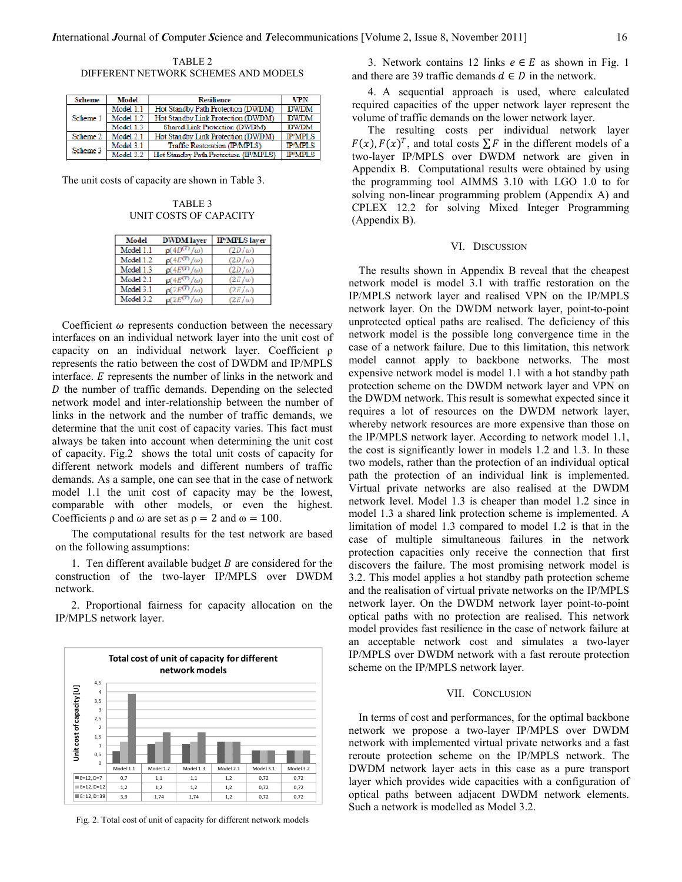TABLE 2 DIFFERENT NETWORK SCHEMES AND MODELS

| <b>Scheme</b> | Model     | <b>Resilience</b>                     | VPN            |
|---------------|-----------|---------------------------------------|----------------|
|               | Model 1.1 | Hot Standby Path Protection (DWDM)    | <b>DWDM</b>    |
| Scheme 1      | Model 1.2 | Hot Standby Link Protection (DWDM)    | <b>DWDM</b>    |
|               | Model 1.3 | Shared Link Protection (DWDM)         | <b>DWDM</b>    |
| Scheme 2      | Model 2.1 | Hot Standby Link Protection (DWDM)    | <b>IP/MPLS</b> |
| Scheme 3      | Model 3.1 | Traffic Restoration (IP/MPLS)         | <b>IP/MPLS</b> |
|               | Model 3.2 | Hot Standby Path Protection (IP/MPLS) | <b>IP/MPLS</b> |

The unit costs of capacity are shown in Table 3.

TABLE 3 UNIT COSTS OF CAPACITY

| Model     | <b>DWDM</b> laver       | <b>IP/MPLS</b> layer |
|-----------|-------------------------|----------------------|
| Model 1.1 | $\rho(4D^{(T)}/\omega)$ | $(2D/\omega)$        |
| Model 1.2 | $p(4E^{(T)}/\omega)$    | $(2D/\omega)$        |
| Model 1.3 | $\rho(4E^{(T)}/\omega)$ | $(2D/\omega)$        |
| Model 2.1 | $p(4E^{(T)}/\omega)$    | $(2E/\omega)$        |
| Model 3.1 | $\rho(2E^{(T)}/\omega)$ | $(2E/\omega)$        |
| Model 3.2 | $p(2E^{(T)}/\omega)$    | $(2E/\omega)$        |

Coefficient  $\omega$  represents conduction between the necessary interfaces on an individual network layer into the unit cost of capacity on an individual network layer. Coefficient ρ represents the ratio between the cost of DWDM and IP/MPLS interface.  $E$  represents the number of links in the network and  *the number of traffic demands. Depending on the selected* network model and inter-relationship between the number of links in the network and the number of traffic demands, we determine that the unit cost of capacity varies. This fact must always be taken into account when determining the unit cost of capacity. Fig.2 shows the total unit costs of capacity for different network models and different numbers of traffic demands. As a sample, one can see that in the case of network model 1.1 the unit cost of capacity may be the lowest, comparable with other models, or even the highest. Coefficients  $\rho$  and  $\omega$  are set as  $\rho = 2$  and  $\omega = 100$ .

The computational results for the test network are based on the following assumptions:

1. Ten different available budget  $B$  are considered for the construction of the two-layer IP/MPLS over DWDM network.

2. Proportional fairness for capacity allocation on the IP/MPLS network layer.



Fig. 2. Total cost of unit of capacity for different network models

3. Network contains 12 links  $e \in E$  as shown in Fig. 1 and there are 39 traffic demands  $d \in D$  in the network.

4. A sequential approach is used, where calculated required capacities of the upper network layer represent the volume of traffic demands on the lower network layer.

The resulting costs per individual network layer  $F(x)$ ,  $F(x)^T$ , and total costs  $\sum F$  in the different models of a two-layer IP/MPLS over DWDM network are given in Appendix B. Computational results were obtained by using the programming tool AIMMS 3.10 with LGO 1.0 to for solving non-linear programming problem (Appendix A) and CPLEX 12.2 for solving Mixed Integer Programming (Appendix B).

#### VI. DISCUSSION

The results shown in Appendix B reveal that the cheapest network model is model 3.1 with traffic restoration on the IP/MPLS network layer and realised VPN on the IP/MPLS network layer. On the DWDM network layer, point-to-point unprotected optical paths are realised. The deficiency of this network model is the possible long convergence time in the case of a network failure. Due to this limitation, this network model cannot apply to backbone networks. The most expensive network model is model 1.1 with a hot standby path protection scheme on the DWDM network layer and VPN on the DWDM network. This result is somewhat expected since it requires a lot of resources on the DWDM network layer, whereby network resources are more expensive than those on the IP/MPLS network layer. According to network model 1.1, the cost is significantly lower in models 1.2 and 1.3. In these two models, rather than the protection of an individual optical path the protection of an individual link is implemented. Virtual private networks are also realised at the DWDM network level. Model 1.3 is cheaper than model 1.2 since in model 1.3 a shared link protection scheme is implemented. A limitation of model 1.3 compared to model 1.2 is that in the case of multiple simultaneous failures in the network protection capacities only receive the connection that first discovers the failure. The most promising network model is 3.2. This model applies a hot standby path protection scheme and the realisation of virtual private networks on the IP/MPLS network layer. On the DWDM network layer point-to-point optical paths with no protection are realised. This network model provides fast resilience in the case of network failure at an acceptable network cost and simulates a two-layer IP/MPLS over DWDM network with a fast reroute protection scheme on the IP/MPLS network layer.

#### VII. CONCLUSION

In terms of cost and performances, for the optimal backbone network we propose a two-layer IP/MPLS over DWDM network with implemented virtual private networks and a fast reroute protection scheme on the IP/MPLS network. The DWDM network layer acts in this case as a pure transport layer which provides wide capacities with a configuration of optical paths between adjacent DWDM network elements. Such a network is modelled as Model 3.2.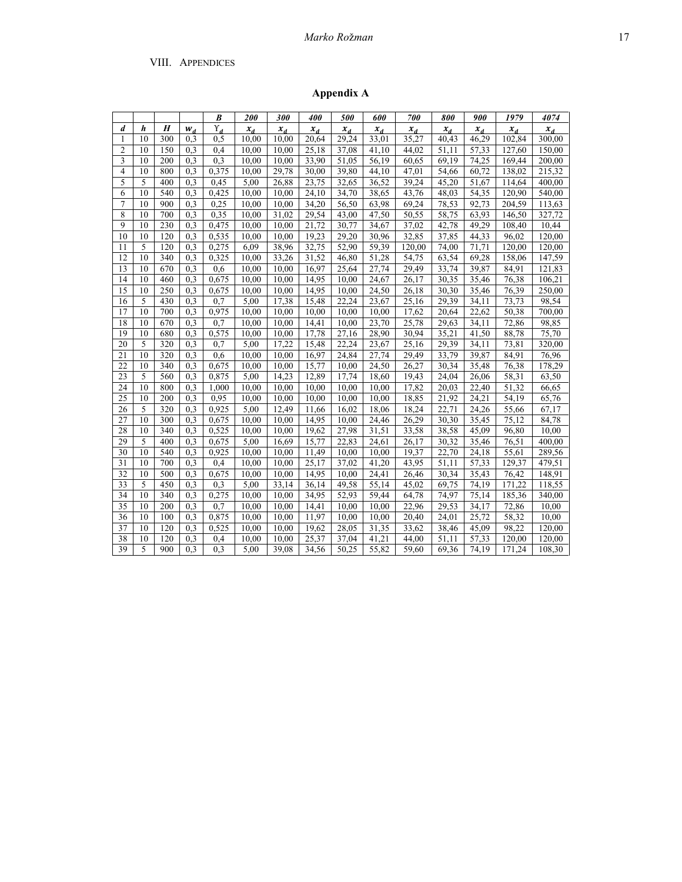# Marko Rožman 17

## VIII. APPENDICES

Appendix A

|                |    |                  |                  | B            | 200                | 300   | 400   | 500     | 600               | 700               | 800   | 900     | 1979               | 4074   |
|----------------|----|------------------|------------------|--------------|--------------------|-------|-------|---------|-------------------|-------------------|-------|---------|--------------------|--------|
| d              | h  | $\boldsymbol{H}$ | $W_d$            | $\Upsilon_d$ | $x_d$              | $x_d$ | $x_d$ | $x_{d}$ | $x_d$             | $x_{d}$           | $x_d$ | $x_{d}$ | $x_d$              | $x_d$  |
| 1              | 10 | 300              | 0.3              | 0,5          | 10,00              | 10,00 | 20,64 | 29,24   | 33,01             | 35,27             | 40,43 | 46,29   | 102,84             | 300,00 |
| $\overline{2}$ | 10 | 150              | 0.3              | 0.4          | 10.00              | 10.00 | 25,18 | 37.08   | 41,10             | 44.02             | 51.11 | 57,33   | 127.60             | 150,00 |
| 3              | 10 | 200              | 0.3              | 0,3          | 10,00              | 10,00 | 33,90 | 51,05   | 56,19             | 60,65             | 69,19 | 74,25   | 169,44             | 200.00 |
| $\overline{4}$ | 10 | 800              | 0.3              | 0,375        | 10,00              | 29,78 | 30,00 | 39,80   | $\frac{44,10}{ }$ | $\frac{47,01}{ }$ | 54,66 | 60,72   | 138,02             | 215.32 |
| 5              | 5  | 400              | 0.3              | 0.45         | 5,00               | 26,88 | 23,75 | 32,65   | 36,52             | 39,24             | 45,20 | 51,67   | 114,64             | 400,00 |
| 6              | 10 | 540              | 0.3              | 0,425        | 10.00              | 10,00 | 24,10 | 34,70   | 38,65             | 43,76             | 48,03 | 54,35   | 120,90             | 540,00 |
| $\tau$         | 10 | 900              | 0.3              | 0.25         | 10,00              | 10,00 | 34,20 | 56,50   | 63,98             | 69,24             | 78,53 | 92,73   | 204,59             | 113,63 |
| 8              | 10 | 700              | 0.3              | 0.35         | 10,00              | 31,02 | 29,54 | 43,00   | 47,50             | 50,55             | 58,75 | 63,93   | 146,50             | 327,72 |
| 9              | 10 | 230              | 0.3              | 0,475        | 10,00              | 10,00 | 21,72 | 30,77   | 34,67             | 37,02             | 42,78 | 49,29   | 108,40             | 10,44  |
| 10             | 10 | 120              | 0.3              | 0,535        | 10,00              | 10,00 | 19,23 | 29,20   | 30,96             | 32,85             | 37,85 | 44,33   | 96,02              | 120,00 |
| 11             | 5  | 120              | 0.3              | 0,275        | 6,09               | 38,96 | 32,75 | 52,90   | 59,39             | 120,00            | 74,00 | 71,71   | 120,00             | 120,00 |
| 12             | 10 | 340              | 0.3              | 0,325        | 10,00              | 33,26 | 31,52 | 46,80   | 51,28             | 54,75             | 63,54 | 69,28   | 158,06             | 147,59 |
| 13             | 10 | 670              | 0.3              | 0.6          | 10.00              | 10.00 | 16,97 | 25,64   | 27,74             | 29,49             | 33,74 | 39.87   | 84.91              | 121.83 |
| 14             | 10 | 460              | 0.3              | 0,675        | 10,00              | 10,00 | 14,95 | 10,00   | 24,67             | 26,17             | 30,35 | 35,46   | 76,38              | 106,21 |
| 15             | 10 | 250              | 0.3              | 0,675        | 10.00              | 10,00 | 14,95 | 10,00   | 24,50             | 26,18             | 30,30 | 35,46   | 76,39              | 250,00 |
| 16             | 5  | 430              | 0.3              | 0.7          | 5,00               | 17,38 | 15,48 | 22,24   | 23,67             | 25,16             | 29,39 | 34,11   | 73,73              | 98,54  |
| 17             | 10 | 700              | 0.3              | 0,975        | 10,00              | 10,00 | 10,00 | 10,00   | 10,00             | 17,62             | 20,64 | 22,62   | 50,38              | 700,00 |
| 18             | 10 | 670              | 0,3              | 0.7          | 10.00              | 10,00 | 14,41 | 10,00   | 23,70             | 25,78             | 29,63 | 34,11   | 72,86              | 98,85  |
| 19             | 10 | 680              | 0.3              | 0,575        | 10,00              | 10,00 | 17,78 | 27,16   | 28,90             | 30,94             | 35,21 | 41,50   | 88,78              | 75,70  |
| 20             | 5  | $\overline{320}$ | 0.3              | 0.7          | 5,00               | 17,22 | 15,48 | 22,24   | 23,67             | 25,16             | 29,39 | 34,11   | 73,81              | 320,00 |
| 21             | 10 | 320              | 0.3              | 0,6          | 10,00              | 10,00 | 16,97 | 24,84   | 27,74             | 29,49             | 33,79 | 39,87   | 84,91              | 76,96  |
| 22             | 10 | 340              | 0.3              | 0,675        | 10,00              | 10,00 | 15,77 | 10,00   | 24,50             | 26,27             | 30,34 | 35,48   | 76,38              | 178,29 |
| 23             | 5  | 560              | 0.3              | 0,875        | 5,00               | 14,23 | 12,89 | 17,74   | 18,60             | 19,43             | 24,04 | 26,06   | 58,31              | 63,50  |
| 24             | 10 | 800              | 0.3              | 1,000        | 10,00              | 10,00 | 10,00 | 10,00   | 10,00             | 17,82             | 20,03 | 22,40   | $\overline{51,32}$ | 66,65  |
| 25             | 10 | 200              | 0.3              | 0.95         | 10.00              | 10,00 | 10,00 | 10.00   | 10,00             | 18,85             | 21,92 | 24,21   | 54,19              | 65,76  |
| 26             | 5  | 320              | 0.3              | 0,925        | 5.00               | 12,49 | 11,66 | 16,02   | 18,06             | 18,24             | 22,71 | 24,26   | 55,66              | 67.17  |
| 27             | 10 | 300              | 0.3              | 0,675        | 10,00              | 10,00 | 14,95 | 10,00   | 24,46             | 26,29             | 30,30 | 35,45   | 75,12              | 84,78  |
| 28             | 10 | 340              | 0.3              | 0,525        | 10.00              | 10,00 | 19,62 | 27,98   | 31,51             | 33,58             | 38,58 | 45,09   | 96,80              | 10,00  |
| 29             | 5  | 400              | 0.3              | 0,675        | 5,00               | 16,69 | 15,77 | 22,83   | 24,61             | 26,17             | 30,32 | 35,46   | 76,51              | 400.00 |
| 30             | 10 | 540              | 0.3              | 0,925        | 10,00              | 10,00 | 11,49 | 10,00   | 10,00             | 19,37             | 22,70 | 24,18   | 55,61              | 289,56 |
| 31             | 10 | 700              | 0.3              | 0.4          | $\overline{10,00}$ | 10,00 | 25,17 | 37,02   | 41,20             | 43,95             | 51,11 | 57,33   | 129,37             | 479,51 |
| 32             | 10 | 500              | 0.3              | 0,675        | 10,00              | 10,00 | 14,95 | 10,00   | 24,41             | 26,46             | 30,34 | 35,43   | 76,42              | 148,91 |
| 33             | 5  | 450              | 0.3              | 0,3          | 5,00               | 33,14 | 36,14 | 49,58   | 55,14             | 45,02             | 69,75 | 74,19   | 171,22             | 118,55 |
| 34             | 10 | 340              | 0.3              | 0,275        | 10,00              | 10,00 | 34,95 | 52,93   | 59,44             | 64,78             | 74,97 | 75,14   | 185,36             | 340,00 |
| 35             | 10 | 200              | 0.3              | 0.7          | 10,00              | 10,00 | 14,41 | 10,00   | 10,00             | 22,96             | 29,53 | 34,17   | $\overline{72,86}$ | 10,00  |
| 36             | 10 | 100              | 0.3              | 0,875        | 10.00              | 10,00 | 11,97 | 10.00   | 10,00             | 20,40             | 24,01 | 25,72   | 58,32              | 10,00  |
| 37             | 10 | 120              | 0.3              | 0,525        | 10.00              | 10.00 | 19,62 | 28,05   | 31,35             | 33,62             | 38,46 | 45,09   | 98.22              | 120.00 |
| 38             | 10 | 120              | 0.3              | 0,4          | 10,00              | 10,00 | 25,37 | 37,04   | 41,21             | 44,00             | 51,11 | 57,33   | 120,00             | 120,00 |
| 39             | 5  | 900              | $\overline{0.3}$ | 0.3          | 5.00               | 39.08 | 34,56 | 50.25   | 55,82             | 59.60             | 69.36 | 74.19   | 171,24             | 108,30 |